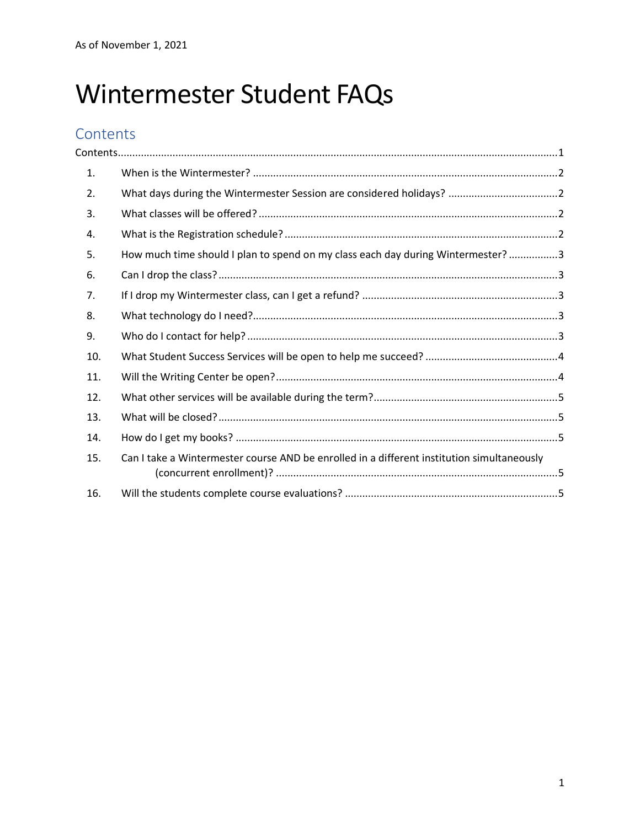# Wintermester Student FAQs

## **Contents**

| 1.               |                                                                                            |
|------------------|--------------------------------------------------------------------------------------------|
| $\overline{2}$ . |                                                                                            |
| 3.               |                                                                                            |
| 4.               |                                                                                            |
| 5.               | How much time should I plan to spend on my class each day during Wintermester? 3           |
| 6.               |                                                                                            |
| 7.               |                                                                                            |
| 8.               |                                                                                            |
| 9.               |                                                                                            |
| 10.              |                                                                                            |
| 11.              |                                                                                            |
| 12.              |                                                                                            |
| 13.              |                                                                                            |
| 14.              |                                                                                            |
| 15.              | Can I take a Wintermester course AND be enrolled in a different institution simultaneously |
| 16.              |                                                                                            |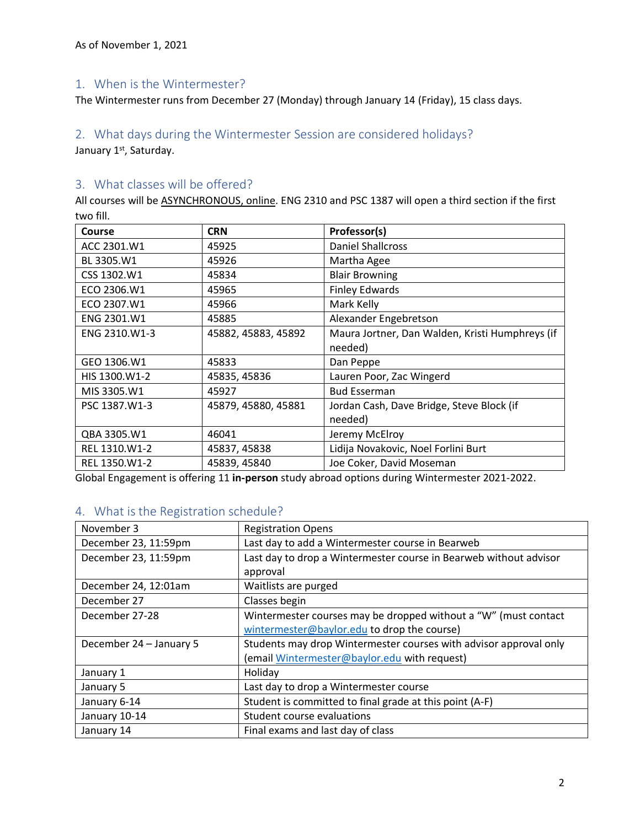#### 1. When is the Wintermester?

The Wintermester runs from December 27 (Monday) through January 14 (Friday), 15 class days.

## 2. What days during the Wintermester Session are considered holidays?

January 1st, Saturday.

#### 3. What classes will be offered?

All courses will be ASYNCHRONOUS, online. ENG 2310 and PSC 1387 will open a third section if the first two fill.

| Course        | <b>CRN</b>          | Professor(s)                                    |
|---------------|---------------------|-------------------------------------------------|
| ACC 2301.W1   | 45925               | <b>Daniel Shallcross</b>                        |
| BL 3305.W1    | 45926               | Martha Agee                                     |
| CSS 1302.W1   | 45834               | <b>Blair Browning</b>                           |
| ECO 2306.W1   | 45965               | <b>Finley Edwards</b>                           |
| ECO 2307.W1   | 45966               | Mark Kelly                                      |
| ENG 2301.W1   | 45885               | Alexander Engebretson                           |
| ENG 2310.W1-3 | 45882, 45883, 45892 | Maura Jortner, Dan Walden, Kristi Humphreys (if |
|               |                     | needed)                                         |
| GEO 1306.W1   | 45833               | Dan Peppe                                       |
| HIS 1300.W1-2 | 45835, 45836        | Lauren Poor, Zac Wingerd                        |
| MIS 3305.W1   | 45927               | <b>Bud Esserman</b>                             |
| PSC 1387.W1-3 | 45879, 45880, 45881 | Jordan Cash, Dave Bridge, Steve Block (if       |
|               |                     | needed)                                         |
| QBA 3305.W1   | 46041               | Jeremy McElroy                                  |
| REL 1310.W1-2 | 45837, 45838        | Lidija Novakovic, Noel Forlini Burt             |
| REL 1350.W1-2 | 45839, 45840        | Joe Coker, David Moseman                        |

Global Engagement is offering 11 **in-person** study abroad options during Wintermester 2021-2022.

#### 4. What is the Registration schedule?

| November 3              | <b>Registration Opens</b>                                         |  |
|-------------------------|-------------------------------------------------------------------|--|
| December 23, 11:59pm    | Last day to add a Wintermester course in Bearweb                  |  |
| December 23, 11:59pm    | Last day to drop a Wintermester course in Bearweb without advisor |  |
|                         | approval                                                          |  |
| December 24, 12:01am    | Waitlists are purged                                              |  |
| December 27             | Classes begin                                                     |  |
| December 27-28          | Wintermester courses may be dropped without a "W" (must contact   |  |
|                         | wintermester@baylor.edu to drop the course)                       |  |
| December 24 - January 5 | Students may drop Wintermester courses with advisor approval only |  |
|                         | (email Wintermester@baylor.edu with request)                      |  |
| January 1               | Holiday                                                           |  |
| January 5               | Last day to drop a Wintermester course                            |  |
| January 6-14            | Student is committed to final grade at this point (A-F)           |  |
| January 10-14           | Student course evaluations                                        |  |
| January 14              | Final exams and last day of class                                 |  |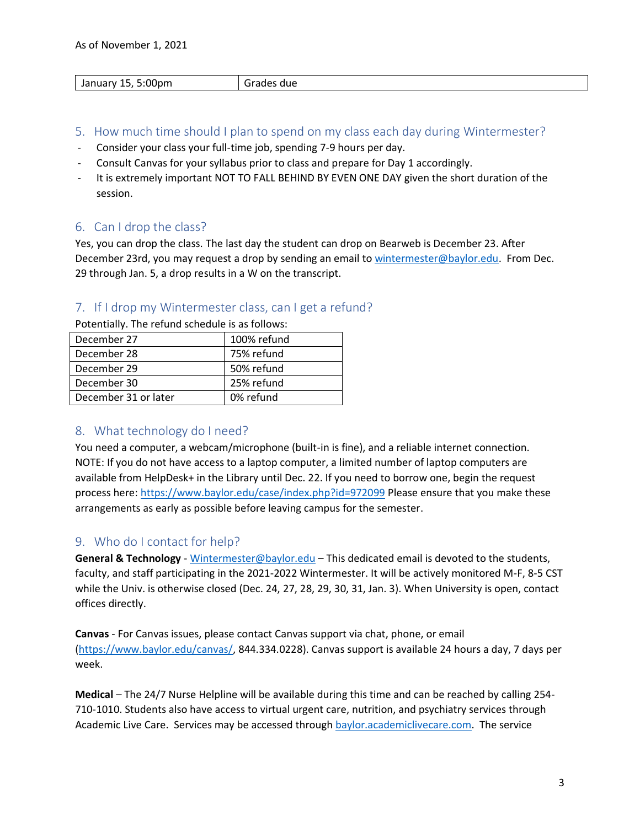| :00 <sub>pm</sub><br>January<br>- 1 | irades<br>due |
|-------------------------------------|---------------|

- 5. How much time should I plan to spend on my class each day during Wintermester?
- Consider your class your full-time job, spending 7-9 hours per day.
- Consult Canvas for your syllabus prior to class and prepare for Day 1 accordingly.
- It is extremely important NOT TO FALL BEHIND BY EVEN ONE DAY given the short duration of the session.

#### 6. Can I drop the class?

Yes, you can drop the class. The last day the student can drop on Bearweb is December 23. After December 23rd, you may request a drop by sending an email t[o wintermester@baylor.edu.](mailto:wintermester@baylor.edu) From Dec. 29 through Jan. 5, a drop results in a W on the transcript.

#### 7. If I drop my Wintermester class, can I get a refund?

Potentially. The refund schedule is as follows:

| December 27          | 100% refund |
|----------------------|-------------|
| December 28          | 75% refund  |
| December 29          | 50% refund  |
| December 30          | 25% refund  |
| December 31 or later | 0% refund   |

#### 8. What technology do I need?

You need a computer, a webcam/microphone (built-in is fine), and a reliable internet connection. NOTE: If you do not have access to a laptop computer, a limited number of laptop computers are available from HelpDesk+ in the Library until Dec. 22. If you need to borrow one, begin the request process here:<https://www.baylor.edu/case/index.php?id=972099> Please ensure that you make these arrangements as early as possible before leaving campus for the semester.

#### 9. Who do I contact for help?

**General & Technology** - [Wintermester@baylor.edu](mailto:Wintermester@baylor.edu) – This dedicated email is devoted to the students, faculty, and staff participating in the 2021-2022 Wintermester. It will be actively monitored M-F, 8-5 CST while the Univ. is otherwise closed (Dec. 24, 27, 28, 29, 30, 31, Jan. 3). When University is open, contact offices directly.

**Canvas** - For Canvas issues, please contact Canvas support via chat, phone, or email [\(https://www.baylor.edu/canvas/,](https://www.baylor.edu/canvas/) 844.334.0228). Canvas support is available 24 hours a day, 7 days per week.

**Medical** – The 24/7 Nurse Helpline will be available during this time and can be reached by calling 254- 710-1010. Students also have access to virtual urgent care, nutrition, and psychiatry services through Academic Live Care. Services may be accessed through [baylor.academiclivecare.com.](baylor.academiclivecare.com) The service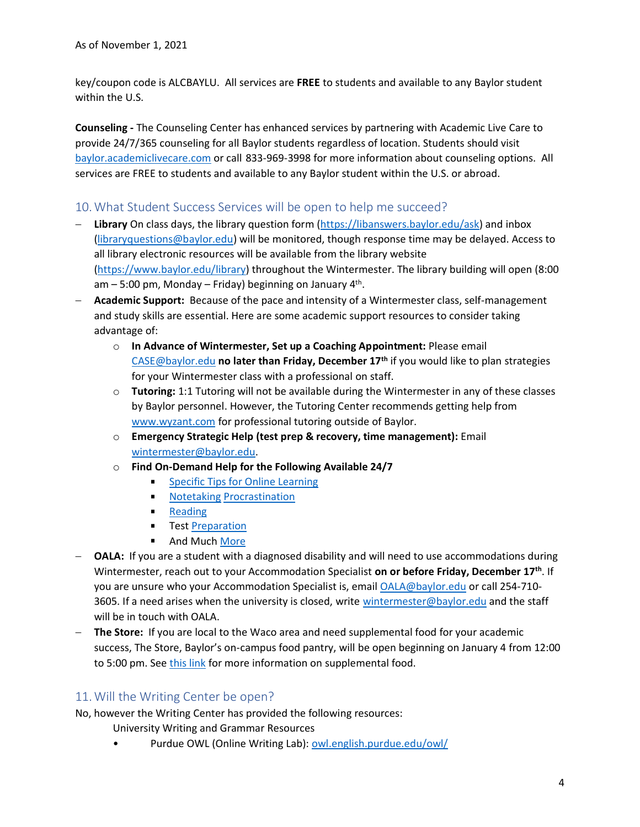key/coupon code is ALCBAYLU. All services are **FREE** to students and available to any Baylor student within the U.S.

**Counseling -** The Counseling Center has enhanced services by partnering with Academic Live Care to provide 24/7/365 counseling for all Baylor students regardless of location. Students should visit <baylor.academiclivecare.com> or call 833-969-3998 for more information about counseling options. All services are FREE to students and available to any Baylor student within the U.S. or abroad.

#### 10.What Student Success Services will be open to help me succeed?

- − **Library** On class days, the library question form [\(https://libanswers.baylor.edu/ask\)](https://libanswers.baylor.edu/ask) and inbox [\(libraryquestions@baylor.edu\)](mailto:libraryquestions@baylor.edu) will be monitored, though response time may be delayed. Access to all library electronic resources will be available from the library website [\(https://www.baylor.edu/library\)](https://www.baylor.edu/library) throughout the Wintermester. The library building will open (8:00 am – 5:00 pm, Monday – Friday) beginning on January 4<sup>th</sup>.
- − **Academic Support:** Because of the pace and intensity of a Wintermester class, self-management and study skills are essential. Here are some academic support resources to consider taking advantage of:
	- o **In Advance of Wintermester, Set up a Coaching Appointment:** Please email [CASE@baylor.edu](mailto:CASE@baylor.edu) **no later than Friday, December 17th** if you would like to plan strategies for your Wintermester class with a professional on staff.
	- o **Tutoring:** 1:1 Tutoring will not be available during the Wintermester in any of these classes by Baylor personnel. However, the Tutoring Center recommends getting help from [www.wyzant.com](http://www.wyzant.com/) for professional tutoring outside of Baylor.
	- o **Emergency Strategic Help (test prep & recovery, time management):** Email [wintermester@baylor.edu.](mailto:wintermester@baylor.edu)
	- o **Find On-Demand Help for the Following Available 24/7**
		- $\blacksquare$ [Specific Tips for Online](https://www.baylor.edu/case/index.php?id=978524) Learning
		- [Notetaking](https://www.baylor.edu/case/index.php?id=978398) [Procrastination](https://www.baylor.edu/case/index.php?id=978399)  $\blacksquare$
		- **[Reading](https://www.baylor.edu/case/index.php?id=978403)**
		- **Test [Preparation](https://www.baylor.edu/case/index.php?id=978402)**
		- And Muc[h More](https://www.baylor.edu/case/index.php?id=978395)
- − **OALA:** If you are a student with a diagnosed disability and will need to use accommodations during Wintermester, reach out to your Accommodation Specialist **on or before Friday, December 17th**. If you are unsure who your Accommodation Specialist is, email [OALA@baylor.edu](mailto:OALA@baylor.edu) or call 254-710 3605. If a need arises when the university is closed, write [wintermester@baylor.edu](mailto:wintermester@baylor.edu) and the staff will be in touch with OALA.
- − **The Store:** If you are local to the Waco area and need supplemental food for your academic success, The Store, Baylor's on-campus food pantry, will be open beginning on January 4 from 12:00 to 5:00 pm. See [this link](https://www.baylor.edu/case/index.php?id=947350) for more information on supplemental food.

#### 11.Will the Writing Center be open?

No, however the Writing Center has provided the following resources:

- University Writing and Grammar Resources
- Purdue OWL (Online Writing Lab): [owl.english.purdue.edu/owl/](https://owl.english.purdue.edu/owl/)